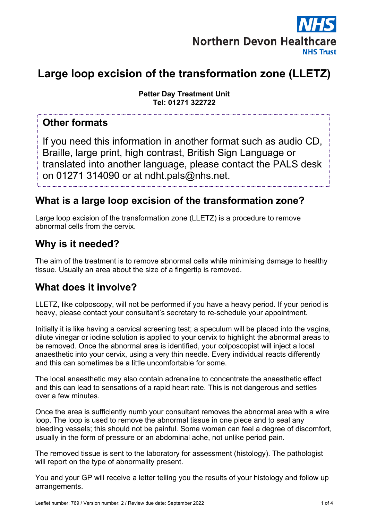

# **Large loop excision of the transformation zone (LLETZ)**

**Petter Day Treatment Unit Tel: 01271 322722**

#### **Other formats**

If you need this information in another format such as audio CD, Braille, large print, high contrast, British Sign Language or translated into another language, please contact the PALS desk on 01271 314090 or at ndht.pals@nhs.net.

## **What is a large loop excision of the transformation zone?**

Large loop excision of the transformation zone (LLETZ) is a procedure to remove abnormal cells from the cervix.

## **Why is it needed?**

The aim of the treatment is to remove abnormal cells while minimising damage to healthy tissue. Usually an area about the size of a fingertip is removed.

## **What does it involve?**

LLETZ, like colposcopy, will not be performed if you have a heavy period. If your period is heavy, please contact your consultant's secretary to re-schedule your appointment.

Initially it is like having a cervical screening test; a speculum will be placed into the vagina, dilute vinegar or iodine solution is applied to your cervix to highlight the abnormal areas to be removed. Once the abnormal area is identified, your colposcopist will inject a local anaesthetic into your cervix, using a very thin needle. Every individual reacts differently and this can sometimes be a little uncomfortable for some.

The local anaesthetic may also contain adrenaline to concentrate the anaesthetic effect and this can lead to sensations of a rapid heart rate. This is not dangerous and settles over a few minutes.

Once the area is sufficiently numb your consultant removes the abnormal area with a wire loop. The loop is used to remove the abnormal tissue in one piece and to seal any bleeding vessels; this should not be painful. Some women can feel a degree of discomfort, usually in the form of pressure or an abdominal ache, not unlike period pain.

The removed tissue is sent to the laboratory for assessment (histology). The pathologist will report on the type of abnormality present.

You and your GP will receive a letter telling you the results of your histology and follow up arrangements.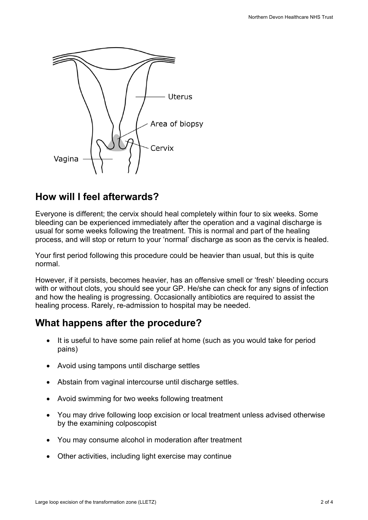

## **How will I feel afterwards?**

Everyone is different; the cervix should heal completely within four to six weeks. Some bleeding can be experienced immediately after the operation and a vaginal discharge is usual for some weeks following the treatment. This is normal and part of the healing process, and will stop or return to your 'normal' discharge as soon as the cervix is healed.

Your first period following this procedure could be heavier than usual, but this is quite normal.

However, if it persists, becomes heavier, has an offensive smell or 'fresh' bleeding occurs with or without clots, you should see your GP. He/she can check for any signs of infection and how the healing is progressing. Occasionally antibiotics are required to assist the healing process. Rarely, re-admission to hospital may be needed.

## **What happens after the procedure?**

- It is useful to have some pain relief at home (such as you would take for period pains)
- Avoid using tampons until discharge settles
- Abstain from vaginal intercourse until discharge settles.
- Avoid swimming for two weeks following treatment
- You may drive following loop excision or local treatment unless advised otherwise by the examining colposcopist
- You may consume alcohol in moderation after treatment
- Other activities, including light exercise may continue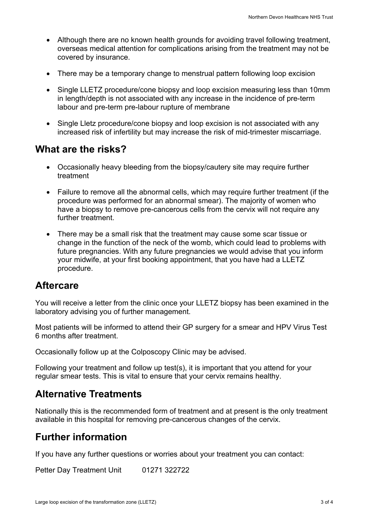- Although there are no known health grounds for avoiding travel following treatment, overseas medical attention for complications arising from the treatment may not be covered by insurance.
- There may be a temporary change to menstrual pattern following loop excision
- Single LLETZ procedure/cone biopsy and loop excision measuring less than 10mm in length/depth is not associated with any increase in the incidence of pre-term labour and pre-term pre-labour rupture of membrane
- Single Lletz procedure/cone biopsy and loop excision is not associated with any increased risk of infertility but may increase the risk of mid-trimester miscarriage.

#### **What are the risks?**

- Occasionally heavy bleeding from the biopsy/cautery site may require further treatment
- Failure to remove all the abnormal cells, which may require further treatment (if the procedure was performed for an abnormal smear). The majority of women who have a biopsy to remove pre-cancerous cells from the cervix will not require any further treatment.
- There may be a small risk that the treatment may cause some scar tissue or change in the function of the neck of the womb, which could lead to problems with future pregnancies. With any future pregnancies we would advise that you inform your midwife, at your first booking appointment, that you have had a LLETZ procedure.

#### **Aftercare**

You will receive a letter from the clinic once your LLETZ biopsy has been examined in the laboratory advising you of further management.

Most patients will be informed to attend their GP surgery for a smear and HPV Virus Test 6 months after treatment.

Occasionally follow up at the Colposcopy Clinic may be advised.

Following your treatment and follow up test(s), it is important that you attend for your regular smear tests. This is vital to ensure that your cervix remains healthy.

## **Alternative Treatments**

Nationally this is the recommended form of treatment and at present is the only treatment available in this hospital for removing pre-cancerous changes of the cervix.

## **Further information**

If you have any further questions or worries about your treatment you can contact:

Petter Day Treatment Unit 01271 322722